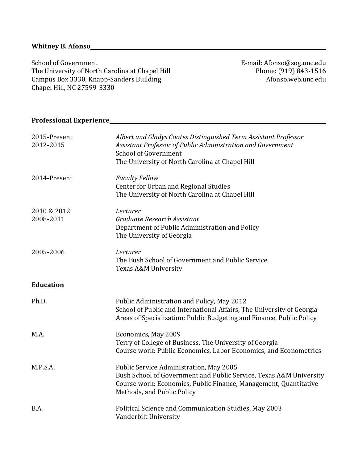School of Government The University of North Carolina at Chapel Hill Campus Box 3330, Knapp-Sanders Building Chapel Hill, NC 27599-3330

E-mail: Afonso@sog.unc.edu Phone: (919) 843-1516 Afonso.web.unc.edu

# **Professional Experience**

| 2015-Present<br>2012-2015 | Albert and Gladys Coates Distinguished Term Assistant Professor<br>Assistant Professor of Public Administration and Government<br>School of Government<br>The University of North Carolina at Chapel Hill       |  |
|---------------------------|-----------------------------------------------------------------------------------------------------------------------------------------------------------------------------------------------------------------|--|
| 2014-Present              | <b>Faculty Fellow</b><br>Center for Urban and Regional Studies<br>The University of North Carolina at Chapel Hill                                                                                               |  |
| 2010 & 2012<br>2008-2011  | Lecturer<br>Graduate Research Assistant<br>Department of Public Administration and Policy<br>The University of Georgia                                                                                          |  |
| 2005-2006                 | Lecturer<br>The Bush School of Government and Public Service<br>Texas A&M University                                                                                                                            |  |
| <b>Education</b>          |                                                                                                                                                                                                                 |  |
| Ph.D.                     | Public Administration and Policy, May 2012<br>School of Public and International Affairs, The University of Georgia<br>Areas of Specialization: Public Budgeting and Finance, Public Policy                     |  |
| M.A.                      | Economics, May 2009<br>Terry of College of Business, The University of Georgia<br>Course work: Public Economics, Labor Economics, and Econometrics                                                              |  |
| M.P.S.A.                  | Public Service Administration, May 2005<br>Bush School of Government and Public Service, Texas A&M University<br>Course work: Economics, Public Finance, Management, Quantitative<br>Methods, and Public Policy |  |
| B.A.                      | Political Science and Communication Studies, May 2003<br>Vanderbilt University                                                                                                                                  |  |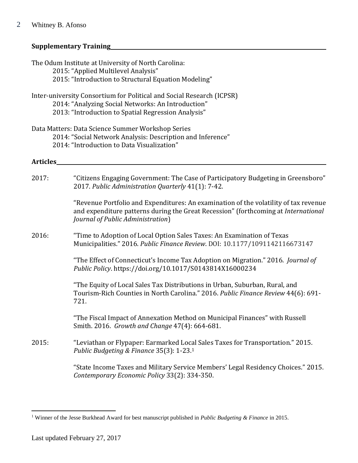# **Supplementary Training**

|          | The Odum Institute at University of North Carolina:<br>2015: "Applied Multilevel Analysis"<br>2015: "Introduction to Structural Equation Modeling"                                                              |  |  |  |  |
|----------|-----------------------------------------------------------------------------------------------------------------------------------------------------------------------------------------------------------------|--|--|--|--|
|          | Inter-university Consortium for Political and Social Research (ICPSR)<br>2014: "Analyzing Social Networks: An Introduction"<br>2013: "Introduction to Spatial Regression Analysis"                              |  |  |  |  |
|          | Data Matters: Data Science Summer Workshop Series<br>2014: "Social Network Analysis: Description and Inference"<br>2014: "Introduction to Data Visualization"                                                   |  |  |  |  |
| Articles |                                                                                                                                                                                                                 |  |  |  |  |
| 2017:    | "Citizens Engaging Government: The Case of Participatory Budgeting in Greensboro"<br>2017. Public Administration Quarterly 41(1): 7-42.                                                                         |  |  |  |  |
|          | "Revenue Portfolio and Expenditures: An examination of the volatility of tax revenue<br>and expenditure patterns during the Great Recession" (forthcoming at International<br>Journal of Public Administration) |  |  |  |  |
| 2016:    | "Time to Adoption of Local Option Sales Taxes: An Examination of Texas<br>Municipalities." 2016. Public Finance Review. DOI: 10.1177/1091142116673147                                                           |  |  |  |  |
|          | "The Effect of Connecticut's Income Tax Adoption on Migration." 2016. Journal of<br>Public Policy. https://doi.org/10.1017/S0143814X16000234                                                                    |  |  |  |  |
|          | "The Equity of Local Sales Tax Distributions in Urban, Suburban, Rural, and<br>Tourism-Rich Counties in North Carolina." 2016. Public Finance Review 44(6): 691-<br>721.                                        |  |  |  |  |
|          | "The Fiscal Impact of Annexation Method on Municipal Finances" with Russell<br>Smith. 2016. Growth and Change 47(4): 664-681.                                                                                   |  |  |  |  |
| 2015:    | "Leviathan or Flypaper: Earmarked Local Sales Taxes for Transportation." 2015.<br>Public Budgeting & Finance 35(3): 1-23.1                                                                                      |  |  |  |  |
|          | "State Income Taxes and Military Service Members' Legal Residency Choices." 2015.<br>Contemporary Economic Policy 33(2): 334-350.                                                                               |  |  |  |  |

 $\overline{a}$ 

<sup>1</sup> Winner of the Jesse Burkhead Award for best manuscript published in *Public Budgeting & Finance* in 2015.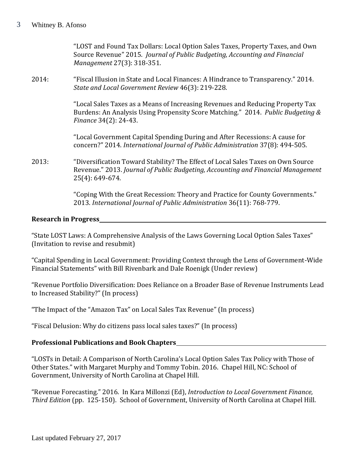"LOST and Found Tax Dollars: Local Option Sales Taxes, Property Taxes, and Own Source Revenue" 2015. *Journal of Public Budgeting, Accounting and Financial Management* 27(3): 318-351.

2014: "Fiscal Illusion in State and Local Finances: A Hindrance to Transparency." 2014. *State and Local Government Review* 46(3): 219-228.

> "Local Sales Taxes as a Means of Increasing Revenues and Reducing Property Tax Burdens: An Analysis Using Propensity Score Matching." 2014. *Public Budgeting & Finance* 34(2): 24-43.

"Local Government Capital Spending During and After Recessions: A cause for concern?" 2014. *International Journal of Public Administration* 37(8): 494-505.

2013: "Diversification Toward Stability? The Effect of Local Sales Taxes on Own Source Revenue." 2013. *Journal of Public Budgeting, Accounting and Financial Management* 25(4): 649-674.

> "Coping With the Great Recession: Theory and Practice for County Governments." 2013. *International Journal of Public Administration* 36(11): 768-779.

#### **Research in Progress**

"State LOST Laws: A Comprehensive Analysis of the Laws Governing Local Option Sales Taxes" (Invitation to revise and resubmit)

"Capital Spending in Local Government: Providing Context through the Lens of Government-Wide Financial Statements" with Bill Rivenbark and Dale Roenigk (Under review)

"Revenue Portfolio Diversification: Does Reliance on a Broader Base of Revenue Instruments Lead to Increased Stability?" (In process)

"The Impact of the "Amazon Tax" on Local Sales Tax Revenue" (In process)

"Fiscal Delusion: Why do citizens pass local sales taxes?" (In process)

# **Professional Publications and Book Chapters**

"LOSTs in Detail: A Comparison of North Carolina's Local Option Sales Tax Policy with Those of Other States." with Margaret Murphy and Tommy Tobin. 2016. Chapel Hill, NC: School of Government, University of North Carolina at Chapel Hill.

"Revenue Forecasting." 2016. In Kara Millonzi (Ed), *Introduction to Local Government Finance, Third Edition* (pp. 125-150). School of Government, University of North Carolina at Chapel Hill.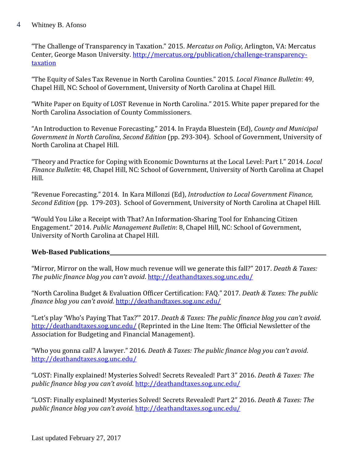#### Whitney B. Afonso 4

"The Challenge of Transparency in Taxation." 2015. *Mercatus on Policy*, Arlington, VA: Mercatus Center, George Mason University. [http://mercatus.org/publication/challenge-transparency](http://mercatus.org/publication/challenge-transparency-taxation)[taxation](http://mercatus.org/publication/challenge-transparency-taxation)

"The Equity of Sales Tax Revenue in North Carolina Counties." 2015. *Local Finance Bulletin*: 49, Chapel Hill, NC: School of Government, University of North Carolina at Chapel Hill.

"White Paper on Equity of LOST Revenue in North Carolina." 2015. White paper prepared for the North Carolina Association of County Commissioners.

"An Introduction to Revenue Forecasting." 2014. In Frayda Bluestein (Ed), *County and Municipal Government in North Carolina, Second Edition* (pp. 293-304). School of Government, University of North Carolina at Chapel Hill.

"Theory and Practice for Coping with Economic Downturns at the Local Level: Part I." 2014. *Local Finance Bulletin*: 48, Chapel Hill, NC: School of Government, University of North Carolina at Chapel Hill.

"Revenue Forecasting." 2014. In Kara Millonzi (Ed), *Introduction to Local Government Finance, Second Edition* (pp. 179-203). School of Government, University of North Carolina at Chapel Hill.

"Would You Like a Receipt with That? An Information-Sharing Tool for Enhancing Citizen Engagement." 2014. *Public Management Bulletin*: 8, Chapel Hill, NC: School of Government, University of North Carolina at Chapel Hill.

# **Web-Based Publications**

"Mirror, Mirror on the wall, How much revenue will we generate this fall?" 2017. *Death & Taxes: The public finance blog you can't avoid*.<http://deathandtaxes.sog.unc.edu/>

"North Carolina Budget & Evaluation Officer Certification: FAQ." 2017. *Death & Taxes: The public finance blog you can't avoid*.<http://deathandtaxes.sog.unc.edu/>

"Let's play 'Who's Paying That Tax?'" 2017. *Death & Taxes: The public finance blog you can't avoid*. <http://deathandtaxes.sog.unc.edu/> (Reprinted in the Line Item: The Official Newsletter of the Association for Budgeting and Financial Management).

"Who you gonna call? A lawyer." 2016. *Death & Taxes: The public finance blog you can't avoid*. <http://deathandtaxes.sog.unc.edu/>

"LOST: Finally explained! Mysteries Solved! Secrets Revealed! Part 3" 2016. *Death & Taxes: The public finance blog you can't avoid*.<http://deathandtaxes.sog.unc.edu/>

"LOST: Finally explained! Mysteries Solved! Secrets Revealed! Part 2" 2016. *Death & Taxes: The public finance blog you can't avoid*.<http://deathandtaxes.sog.unc.edu/>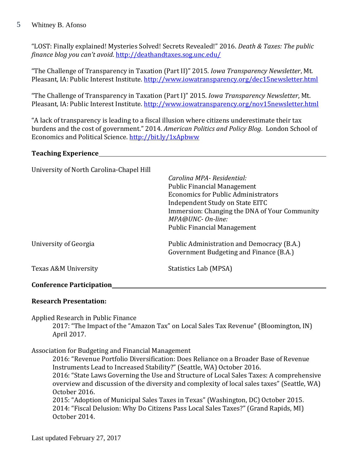#### Whitney B. Afonso 5

"LOST: Finally explained! Mysteries Solved! Secrets Revealed!" 2016. *Death & Taxes: The public finance blog you can't avoid*.<http://deathandtaxes.sog.unc.edu/>

"The Challenge of Transparency in Taxation (Part II)" 2015. *Iowa Transparency Newsletter*, Mt. Pleasant, IA: Public Interest Institute.<http://www.iowatransparency.org/dec15newsletter.html>

"The Challenge of Transparency in Taxation (Part I)" 2015. *Iowa Transparency Newsletter*, Mt. Pleasant, IA: Public Interest Institute.<http://www.iowatransparency.org/nov15newsletter.html>

"A lack of transparency is leading to a fiscal illusion where citizens underestimate their tax burdens and the cost of government." 2014. *American Politics and Policy Blog*. London School of Economics and Political Science.<http://bit.ly/1xApbww>

### **Teaching Experience**

| University of North Carolina-Chapel Hill |                                                                                       |
|------------------------------------------|---------------------------------------------------------------------------------------|
|                                          | Carolina MPA-Residential:                                                             |
|                                          | <b>Public Financial Management</b>                                                    |
|                                          | Economics for Public Administrators                                                   |
|                                          | Independent Study on State EITC                                                       |
|                                          | Immersion: Changing the DNA of Your Community<br>MPA@UNC- On-line:                    |
|                                          | <b>Public Financial Management</b>                                                    |
| University of Georgia                    | Public Administration and Democracy (B.A.)<br>Government Budgeting and Finance (B.A.) |
| Texas A&M University                     | Statistics Lab (MPSA)                                                                 |
| <b>Conference Participation</b>          |                                                                                       |

#### **Research Presentation:**

Applied Research in Public Finance

2017: "The Impact of the "Amazon Tax" on Local Sales Tax Revenue" (Bloomington, IN) April 2017.

Association for Budgeting and Financial Management

2016: "Revenue Portfolio Diversification: Does Reliance on a Broader Base of Revenue Instruments Lead to Increased Stability?" (Seattle, WA) October 2016. 2016: "State Laws Governing the Use and Structure of Local Sales Taxes: A comprehensive overview and discussion of the diversity and complexity of local sales taxes" (Seattle, WA) October 2016. 2015: "Adoption of Municipal Sales Taxes in Texas" (Washington, DC) October 2015. 2014: "Fiscal Delusion: Why Do Citizens Pass Local Sales Taxes?" (Grand Rapids, MI) October 2014.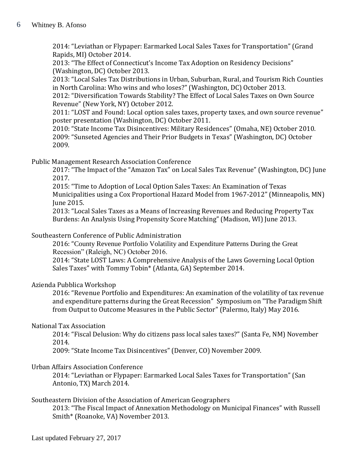2014: "Leviathan or Flypaper: Earmarked Local Sales Taxes for Transportation" (Grand Rapids, MI) October 2014.

2013: "The Effect of Connecticut's Income Tax Adoption on Residency Decisions" (Washington, DC) October 2013.

2013: "Local Sales Tax Distributions in Urban, Suburban, Rural, and Tourism Rich Counties in North Carolina: Who wins and who loses?" (Washington, DC) October 2013.

2012: "Diversification Towards Stability? The Effect of Local Sales Taxes on Own Source Revenue" (New York, NY) October 2012.

2011: "LOST and Found: Local option sales taxes, property taxes, and own source revenue" poster presentation (Washington, DC) October 2011.

2010: "State Income Tax Disincentives: Military Residences" (Omaha, NE) October 2010. 2009: "Sunseted Agencies and Their Prior Budgets in Texas" (Washington, DC) October 2009.

Public Management Research Association Conference

2017: "The Impact of the "Amazon Tax" on Local Sales Tax Revenue" (Washington, DC) June 2017.

2015: "Time to Adoption of Local Option Sales Taxes: An Examination of Texas Municipalities using a Cox Proportional Hazard Model from 1967-2012" (Minneapolis, MN) June 2015.

2013: "Local Sales Taxes as a Means of Increasing Revenues and Reducing Property Tax Burdens: An Analysis Using Propensity Score Matching" (Madison, WI) June 2013.

# Southeastern Conference of Public Administration

2016: "County Revenue Portfolio Volatility and Expenditure Patterns During the Great Recession" (Raleigh, NC) October 2016.

2014: "State LOST Laws: A Comprehensive Analysis of the Laws Governing Local Option Sales Taxes" with Tommy Tobin\* (Atlanta, GA) September 2014.

# Azienda Pubblica Workshop

2016: "Revenue Portfolio and Expenditures: An examination of the volatility of tax revenue and expenditure patterns during the Great Recession" Symposium on "The Paradigm Shift from Output to Outcome Measures in the Public Sector" (Palermo, Italy) May 2016.

# National Tax Association

2014: "Fiscal Delusion: Why do citizens pass local sales taxes?" (Santa Fe, NM) November 2014.

2009: "State Income Tax Disincentives" (Denver, CO) November 2009.

# Urban Affairs Association Conference

2014: "Leviathan or Flypaper: Earmarked Local Sales Taxes for Transportation" (San Antonio, TX) March 2014.

# Southeastern Division of the Association of American Geographers

2013: "The Fiscal Impact of Annexation Methodology on Municipal Finances" with Russell Smith\* (Roanoke, VA) November 2013.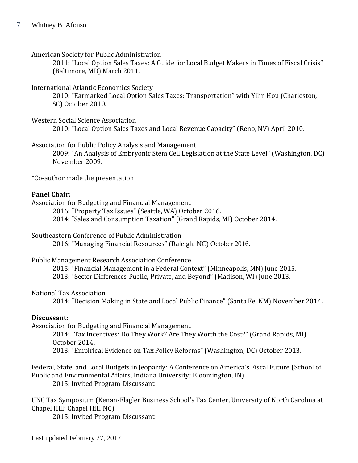#### American Society for Public Administration

2011: "Local Option Sales Taxes: A Guide for Local Budget Makers in Times of Fiscal Crisis" (Baltimore, MD) March 2011.

### International Atlantic Economics Society

2010: "Earmarked Local Option Sales Taxes: Transportation" with Yilin Hou (Charleston, SC) October 2010.

### Western Social Science Association

2010: "Local Option Sales Taxes and Local Revenue Capacity" (Reno, NV) April 2010.

# Association for Public Policy Analysis and Management

2009: "An Analysis of Embryonic Stem Cell Legislation at the State Level" (Washington, DC) November 2009.

\*Co-author made the presentation

# **Panel Chair:**

Association for Budgeting and Financial Management

2016: "Property Tax Issues" (Seattle, WA) October 2016.

2014: "Sales and Consumption Taxation" (Grand Rapids, MI) October 2014.

# Southeastern Conference of Public Administration

2016: "Managing Financial Resources" (Raleigh, NC) October 2016.

#### Public Management Research Association Conference

2015: "Financial Management in a Federal Context" (Minneapolis, MN) June 2015. 2013: "Sector Differences-Public, Private, and Beyond" (Madison, WI) June 2013.

# National Tax Association

2014: "Decision Making in State and Local Public Finance" (Santa Fe, NM) November 2014.

# **Discussant:**

Association for Budgeting and Financial Management

2014: "Tax Incentives: Do They Work? Are They Worth the Cost?" (Grand Rapids, MI) October 2014.

2013: "Empirical Evidence on Tax Policy Reforms" (Washington, DC) October 2013.

Federal, State, and Local Budgets in Jeopardy: A Conference on America's Fiscal Future (School of Public and Environmental Affairs, Indiana University; Bloomington, IN)

2015: Invited Program Discussant

UNC Tax Symposium (Kenan-Flagler Business School's Tax Center, University of North Carolina at Chapel Hill; Chapel Hill, NC)

2015: Invited Program Discussant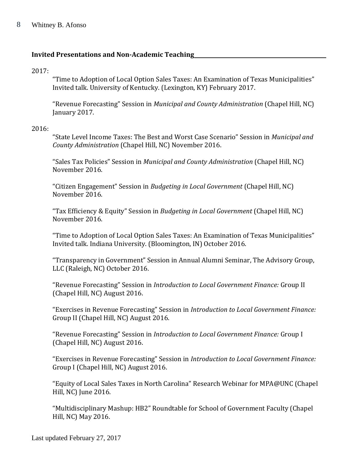# **Invited Presentations and Non-Academic Teaching**

#### 2017:

"Time to Adoption of Local Option Sales Taxes: An Examination of Texas Municipalities" Invited talk. University of Kentucky. (Lexington, KY) February 2017.

"Revenue Forecasting" Session in *Municipal and County Administration* (Chapel Hill, NC) January 2017.

#### 2016:

"State Level Income Taxes: The Best and Worst Case Scenario" Session in *Municipal and County Administration* (Chapel Hill, NC) November 2016.

"Sales Tax Policies" Session in *Municipal and County Administration* (Chapel Hill, NC) November 2016.

"Citizen Engagement" Session in *Budgeting in Local Government* (Chapel Hill, NC) November 2016.

"Tax Efficiency & Equity" Session in *Budgeting in Local Government* (Chapel Hill, NC) November 2016.

"Time to Adoption of Local Option Sales Taxes: An Examination of Texas Municipalities" Invited talk. Indiana University. (Bloomington, IN) October 2016.

"Transparency in Government" Session in Annual Alumni Seminar, The Advisory Group, LLC (Raleigh, NC) October 2016.

"Revenue Forecasting" Session in *Introduction to Local Government Finance:* Group II (Chapel Hill, NC) August 2016.

"Exercises in Revenue Forecasting" Session in *Introduction to Local Government Finance:* Group II (Chapel Hill, NC) August 2016.

"Revenue Forecasting" Session in *Introduction to Local Government Finance:* Group I (Chapel Hill, NC) August 2016.

"Exercises in Revenue Forecasting" Session in *Introduction to Local Government Finance:* Group I (Chapel Hill, NC) August 2016.

"Equity of Local Sales Taxes in North Carolina" Research Webinar for MPA@UNC (Chapel Hill, NC) June 2016.

"Multidisciplinary Mashup: HB2" Roundtable for School of Government Faculty (Chapel Hill, NC) May 2016.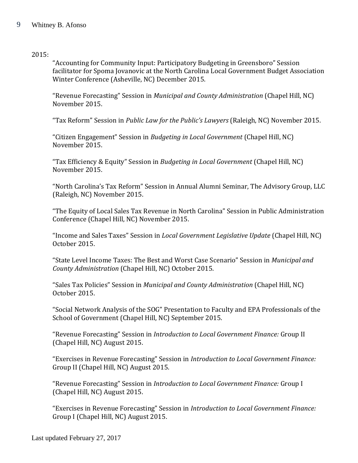#### Whitney B. Afonso 9

#### 2015:

"Accounting for Community Input: Participatory Budgeting in Greensboro" Session facilitator for Spoma Jovanovic at the North Carolina Local Government Budget Association Winter Conference (Asheville, NC) December 2015.

"Revenue Forecasting" Session in *Municipal and County Administration* (Chapel Hill, NC) November 2015.

"Tax Reform" Session in *Public Law for the Public's Lawyers* (Raleigh, NC) November 2015.

"Citizen Engagement" Session in *Budgeting in Local Government* (Chapel Hill, NC) November 2015.

"Tax Efficiency & Equity" Session in *Budgeting in Local Government* (Chapel Hill, NC) November 2015.

"North Carolina's Tax Reform" Session in Annual Alumni Seminar, The Advisory Group, LLC (Raleigh, NC) November 2015.

"The Equity of Local Sales Tax Revenue in North Carolina" Session in Public Administration Conference (Chapel Hill, NC) November 2015.

"Income and Sales Taxes" Session in *Local Government Legislative Update* (Chapel Hill, NC) October 2015.

"State Level Income Taxes: The Best and Worst Case Scenario" Session in *Municipal and County Administration* (Chapel Hill, NC) October 2015.

"Sales Tax Policies" Session in *Municipal and County Administration* (Chapel Hill, NC) October 2015.

"Social Network Analysis of the SOG" Presentation to Faculty and EPA Professionals of the School of Government (Chapel Hill, NC) September 2015.

"Revenue Forecasting" Session in *Introduction to Local Government Finance:* Group II (Chapel Hill, NC) August 2015.

"Exercises in Revenue Forecasting" Session in *Introduction to Local Government Finance:* Group II (Chapel Hill, NC) August 2015.

"Revenue Forecasting" Session in *Introduction to Local Government Finance:* Group I (Chapel Hill, NC) August 2015.

"Exercises in Revenue Forecasting" Session in *Introduction to Local Government Finance:* Group I (Chapel Hill, NC) August 2015.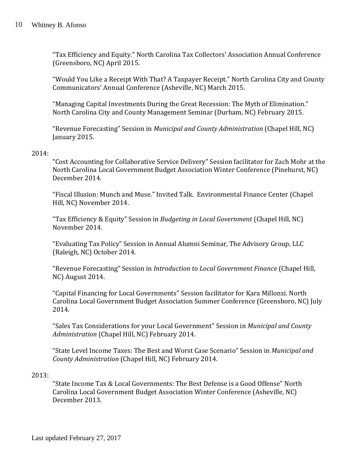"Tax Efficiency and Equity." North Carolina Tax Collectors' Association Annual Conference (Greensboro, NC) April 2015.

"Would You Like a Receipt With That? A Taxpayer Receipt." North Carolina City and County Communicators' Annual Conference (Asheville, NC) March 2015.

"Managing Capital Investments During the Great Recession: The Myth of Elimination." North Carolina City and County Management Seminar (Durham, NC) February 2015.

"Revenue Forecasting" Session in *Municipal and County Administration* (Chapel Hill, NC) January 2015.

#### 2014:

"Cost Accounting for Collaborative Service Delivery" Session facilitator for Zach Mohr at the North Carolina Local Government Budget Association Winter Conference (Pinehurst, NC) December 2014.

"Fiscal Illusion: Munch and Muse." Invited Talk. Environmental Finance Center (Chapel Hill, NC) November 2014.

"Tax Efficiency & Equity" Session in *Budgeting in Local Government* (Chapel Hill, NC) November 2014.

"Evaluating Tax Policy" Session in Annual Alumni Seminar, The Advisory Group, LLC (Raleigh, NC) October 2014.

"Revenue Forecasting" Session in *Introduction to Local Government Finance* (Chapel Hill, NC) August 2014.

"Capital Financing for Local Governments" Session facilitator for Kara Millonzi. North Carolina Local Government Budget Association Summer Conference (Greensboro, NC) July 2014.

"Sales Tax Considerations for your Local Government" Session in *Municipal and County Administration* (Chapel Hill, NC) February 2014.

"State Level Income Taxes: The Best and Worst Case Scenario" Session in *Municipal and County Administration* (Chapel Hill, NC) February 2014.

#### 2013:

"State Income Tax & Local Governments: The Best Defense is a Good Offense" North Carolina Local Government Budget Association Winter Conference (Asheville, NC) December 2013.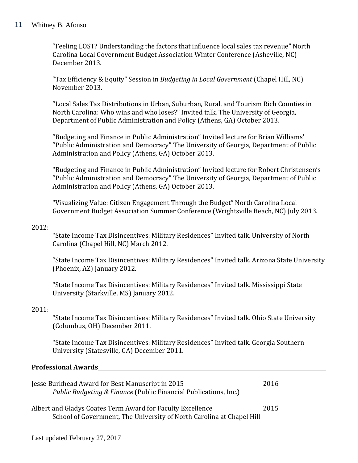"Feeling LOST? Understanding the factors that influence local sales tax revenue" North Carolina Local Government Budget Association Winter Conference (Asheville, NC) December 2013.

"Tax Efficiency & Equity" Session in *Budgeting in Local Government* (Chapel Hill, NC) November 2013.

"Local Sales Tax Distributions in Urban, Suburban, Rural, and Tourism Rich Counties in North Carolina: Who wins and who loses?" Invited talk. The University of Georgia, Department of Public Administration and Policy (Athens, GA) October 2013.

"Budgeting and Finance in Public Administration" Invited lecture for Brian Williams' "Public Administration and Democracy" The University of Georgia, Department of Public Administration and Policy (Athens, GA) October 2013.

"Budgeting and Finance in Public Administration" Invited lecture for Robert Christensen's "Public Administration and Democracy" The University of Georgia, Department of Public Administration and Policy (Athens, GA) October 2013.

"Visualizing Value: Citizen Engagement Through the Budget" North Carolina Local Government Budget Association Summer Conference (Wrightsville Beach, NC) July 2013.

### 2012:

"State Income Tax Disincentives: Military Residences" Invited talk. University of North Carolina (Chapel Hill, NC) March 2012.

"State Income Tax Disincentives: Military Residences" Invited talk. Arizona State University (Phoenix, AZ) January 2012.

"State Income Tax Disincentives: Military Residences" Invited talk. Mississippi State University (Starkville, MS) January 2012.

# 2011:

"State Income Tax Disincentives: Military Residences" Invited talk. Ohio State University (Columbus, OH) December 2011.

"State Income Tax Disincentives: Military Residences" Invited talk. Georgia Southern University (Statesville, GA) December 2011.

#### **Professional Awards**

| Jesse Burkhead Award for Best Manuscript in 2015<br><i>Public Budgeting &amp; Finance</i> (Public Financial Publications, Inc.)     | 2016 |
|-------------------------------------------------------------------------------------------------------------------------------------|------|
| Albert and Gladys Coates Term Award for Faculty Excellence<br>School of Government, The University of North Carolina at Chapel Hill | 2015 |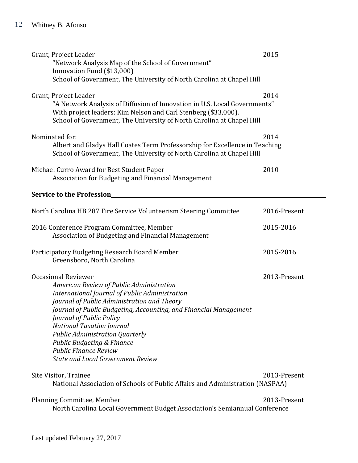| Grant, Project Leader<br>"Network Analysis Map of the School of Government"<br>Innovation Fund (\$13,000)<br>School of Government, The University of North Carolina at Chapel Hill                                                                                                                                                                                                                                                                                          | 2015         |
|-----------------------------------------------------------------------------------------------------------------------------------------------------------------------------------------------------------------------------------------------------------------------------------------------------------------------------------------------------------------------------------------------------------------------------------------------------------------------------|--------------|
| Grant, Project Leader<br>"A Network Analysis of Diffusion of Innovation in U.S. Local Governments"<br>With project leaders: Kim Nelson and Carl Stenberg (\$33,000).<br>School of Government, The University of North Carolina at Chapel Hill                                                                                                                                                                                                                               | 2014         |
| Nominated for:<br>Albert and Gladys Hall Coates Term Professorship for Excellence in Teaching<br>School of Government, The University of North Carolina at Chapel Hill                                                                                                                                                                                                                                                                                                      | 2014         |
| Michael Curro Award for Best Student Paper<br>Association for Budgeting and Financial Management                                                                                                                                                                                                                                                                                                                                                                            | 2010         |
| <b>Service to the Profession</b>                                                                                                                                                                                                                                                                                                                                                                                                                                            |              |
| North Carolina HB 287 Fire Service Volunteerism Steering Committee                                                                                                                                                                                                                                                                                                                                                                                                          | 2016-Present |
| 2016 Conference Program Committee, Member<br>Association of Budgeting and Financial Management                                                                                                                                                                                                                                                                                                                                                                              | 2015-2016    |
| Participatory Budgeting Research Board Member<br>Greensboro, North Carolina                                                                                                                                                                                                                                                                                                                                                                                                 | 2015-2016    |
| <b>Occasional Reviewer</b><br>American Review of Public Administration<br>International Journal of Public Administration<br>Journal of Public Administration and Theory<br>Journal of Public Budgeting, Accounting, and Financial Management<br>Journal of Public Policy<br><b>National Taxation Journal</b><br><b>Public Administration Quarterly</b><br><b>Public Budgeting &amp; Finance</b><br><b>Public Finance Review</b><br><b>State and Local Government Review</b> | 2013-Present |
| Site Visitor, Trainee<br>National Association of Schools of Public Affairs and Administration (NASPAA)                                                                                                                                                                                                                                                                                                                                                                      | 2013-Present |
| Planning Committee, Member<br>North Carolina Local Government Budget Association's Semiannual Conference                                                                                                                                                                                                                                                                                                                                                                    | 2013-Present |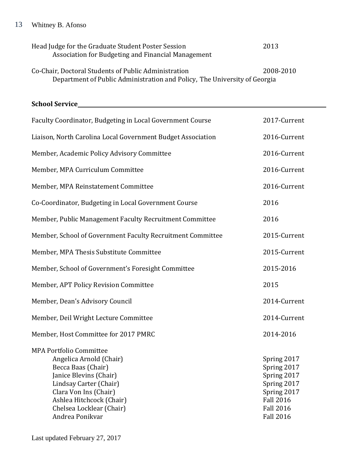| Head Judge for the Graduate Student Poster Session<br>Association for Budgeting and Financial Management | 2013      |
|----------------------------------------------------------------------------------------------------------|-----------|
| Co-Chair, Doctoral Students of Public Administration                                                     | 2008-2010 |
| Department of Public Administration and Policy, The University of Georgia                                |           |

**School Service** Faculty Coordinator, Budgeting in Local Government Course 2017-Current Liaison, North Carolina Local Government Budget Association 2016-Current Member, Academic Policy Advisory Committee 2016-Current Member, MPA Curriculum Committee 2016-Current Member, MPA Reinstatement Committee 2016-Current Co-Coordinator, Budgeting in Local Government Course 2016 Member, Public Management Faculty Recruitment Committee 2016 Member, School of Government Faculty Recruitment Committee 2015-Current Member, MPA Thesis Substitute Committee 2015-Current Member, School of Government's Foresight Committee 2015-2016 Member, APT Policy Revision Committee 2015 Member, Dean's Advisory Council 2014-Current Member, Deil Wright Lecture Committee 2014-Current Member, Host Committee for 2017 PMRC 2014-2016 MPA Portfolio Committee Angelica Arnold (Chair) Spring 2017 Becca Baas (Chair) Spring 2017 Janice Blevins (Chair) Spring 2017 Lindsay Carter (Chair) Spring 2017 Clara Von Ins (Chair) Spring 2017 Ashlea Hitchcock (Chair) Fall 2016 Chelsea Locklear (Chair) Fall 2016 Andrea Ponikvar Fall 2016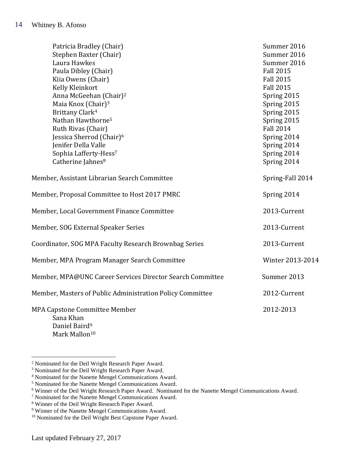| Patricia Bradley (Chair)<br>Stephen Baxter (Chair)        | Summer 2016<br>Summer 2016 |
|-----------------------------------------------------------|----------------------------|
| Laura Hawkes                                              | Summer 2016                |
| Paula Dibley (Chair)                                      | <b>Fall 2015</b>           |
| Kiia Owens (Chair)                                        | <b>Fall 2015</b>           |
| Kelly Kleinkort                                           | <b>Fall 2015</b>           |
| Anna McGeehan (Chair) <sup>2</sup>                        | Spring 2015                |
| Maia Knox (Chair) <sup>3</sup>                            | Spring 2015                |
| Brittany Clark <sup>4</sup>                               | Spring 2015                |
| Nathan Hawthorne <sup>5</sup>                             | Spring 2015                |
| Ruth Rivas (Chair)                                        | <b>Fall 2014</b>           |
| Jessica Sherrod (Chair) <sup>6</sup>                      | Spring 2014                |
| Jenifer Della Valle                                       | Spring 2014                |
| Sophia Lafferty-Hess7                                     | Spring 2014                |
| Catherine Jahnes <sup>8</sup>                             | Spring 2014                |
| Member, Assistant Librarian Search Committee              | Spring-Fall 2014           |
| Member, Proposal Committee to Host 2017 PMRC              | Spring 2014                |
| Member, Local Government Finance Committee                | 2013-Current               |
| Member, SOG External Speaker Series                       | 2013-Current               |
| Coordinator, SOG MPA Faculty Research Brownbag Series     | 2013-Current               |
| Member, MPA Program Manager Search Committee              | Winter 2013-2014           |
| Member, MPA@UNC Career Services Director Search Committee | Summer 2013                |
| Member, Masters of Public Administration Policy Committee | 2012-Current               |
| <b>MPA Capstone Committee Member</b><br>Sana Khan         | 2012-2013                  |

Daniel Baird<sup>9</sup> Mark Mallon<sup>10</sup>

 $\overline{a}$ 

<sup>2</sup> Nominated for the Deil Wright Research Paper Award.

<sup>&</sup>lt;sup>3</sup> Nominated for the Deil Wright Research Paper Award.

<sup>4</sup> Nominated for the Nanette Mengel Communications Award.

<sup>5</sup> Nominated for the Nanette Mengel Communications Award.

<sup>&</sup>lt;sup>6</sup> Winner of the Deil Wright Research Paper Award. Nominated for the Nanette Mengel Communications Award.

<sup>7</sup> Nominated for the Nanette Mengel Communications Award.

<sup>8</sup> Winner of the Deil Wright Research Paper Award.

<sup>9</sup> Winner of the Nanette Mengel Communications Award.

<sup>&</sup>lt;sup>10</sup> Nominated for the Deil Wright Best Capstone Paper Award.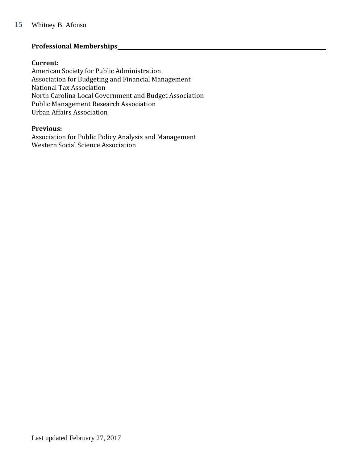# **Professional Memberships**

#### **Current:**

American Society for Public Administration Association for Budgeting and Financial Management National Tax Association North Carolina Local Government and Budget Association Public Management Research Association Urban Affairs Association

#### **Previous:**

Association for Public Policy Analysis and Management Western Social Science Association